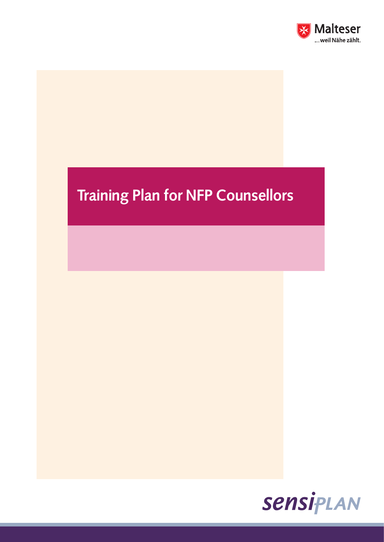

# Training Plan for NFP Counsellors

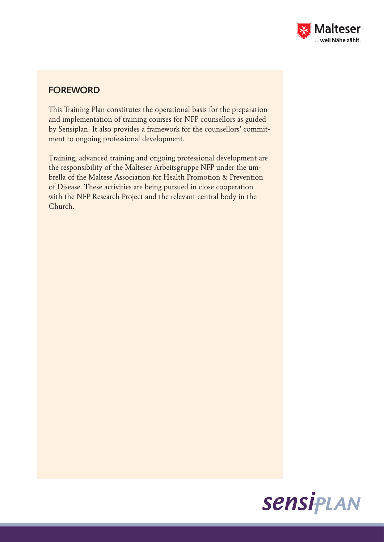

## **FOREWORD**

This Training Plan constitutes the operational basis for the preparation and implementation of training courses for NFP counsellors as guided by Sensiplan. It also provides a framework for the counsellors' commitment to ongoing professional development.

Training, advanced training and ongoing professional development are the responsibility of the Malteser Arbeitsgruppe NFP under the umbrella of the Maltese Association for Health Promotion & Prevention of Disease. These activities are being pursued in close cooperation with the NFP Research Project and the relevant central body in the Church.

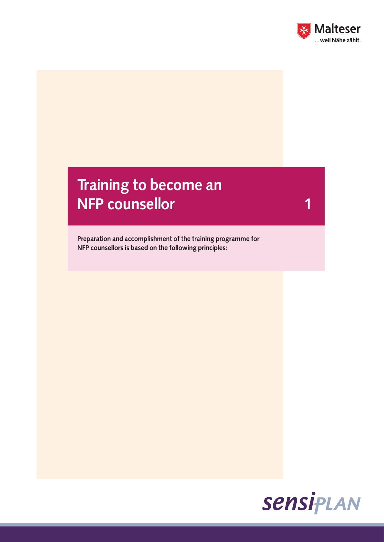

1

## Training to become an NFP counsellor

Preparation and accomplishment of the training programme for NFP counsellors is based on the following principles:

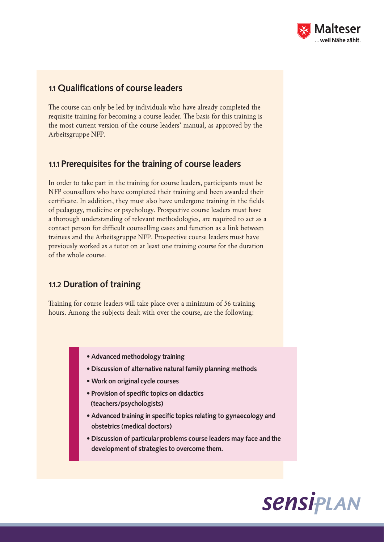

#### 1.1 Qualifications of course leaders

The course can only be led by individuals who have already completed the requisite training for becoming a course leader. The basis for this training is the most current version of the course leaders' manual, as approved by the Arbeitsgruppe NFP.

### 1.1.1 Prerequisites for the training of course leaders

In order to take part in the training for course leaders, participants must be NFP counsellors who have completed their training and been awarded their certificate. In addition, they must also have undergone training in the fields of pedagogy, medicine or psychology. Prospective course leaders must have a thorough understanding of relevant methodologies, are required to act as a contact person for difficult counselling cases and function as a link between trainees and the Arbeitsgruppe NFP. Prospective course leaders must have previously worked as a tutor on at least one training course for the duration of the whole course.

#### 1.1.2 Duration of training

Training for course leaders will take place over a minimum of 56 training hours. Among the subjects dealt with over the course, are the following:

- Advanced methodology training
- Discussion of alternative natural family planning methods
- Work on original cycle courses
- Provision of specific topics on didactics (teachers/psychologists)
- Advanced training in specific topics relating to gynaecology and obstetrics (medical doctors)
- Discussion of particular problems course leaders may face and the development of strategies to overcome them.

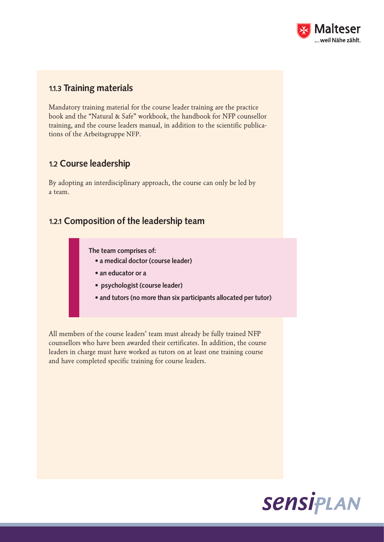

#### 1.1.3 Training materials

Mandatory training material for the course leader training are the practice book and the "Natural & Safe" workbook, the handbook for NFP counsellor training, and the course leaders manual, in addition to the scientific publications of the Arbeitsgruppe NFP.

## 1.2 Course leadership

By adopting an interdisciplinary approach, the course can only be led by a team.

#### 1.2.1 Composition of the leadership team

The team comprises of:

- a medical doctor (course leader)
- an educator or a
- psychologist (course leader)
- and tutors (no more than six participants allocated per tutor)

All members of the course leaders' team must already be fully trained NFP counsellors who have been awarded their certificates. In addition, the course leaders in charge must have worked as tutors on at least one training course and have completed specific training for course leaders.

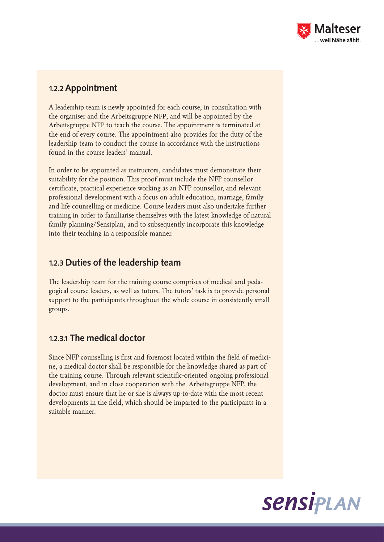

#### 1.2.2 Appointment

A leadership team is newly appointed for each course, in consultation with the organiser and the Arbeitsgruppe NFP, and will be appointed by the Arbeitsgruppe NFP to teach the course. The appointment is terminated at the end of every course. The appointment also provides for the duty of the leadership team to conduct the course in accordance with the instructions found in the course leaders' manual.

In order to be appointed as instructors, candidates must demonstrate their suitability for the position. This proof must include the NFP counsellor certificate, practical experience working as an NFP counsellor, and relevant professional development with a focus on adult education, marriage, family and life counselling or medicine. Course leaders must also undertake further training in order to familiarise themselves with the latest knowledge of natural family planning/Sensiplan, and to subsequently incorporate this knowledge into their teaching in a responsible manner.

### 1.2.3 Duties of the leadership team

The leadership team for the training course comprises of medical and pedagogical course leaders, as well as tutors. The tutors' task is to provide personal support to the participants throughout the whole course in consistently small groups.

## 1.2.3.1 The medical doctor

Since NFP counselling is first and foremost located within the field of medicine, a medical doctor shall be responsible for the knowledge shared as part of the training course. Through relevant scientific-oriented ongoing professional development, and in close cooperation with the Arbeitsgruppe NFP, the doctor must ensure that he or she is always up-to-date with the most recent developments in the field, which should be imparted to the participants in a suitable manner.

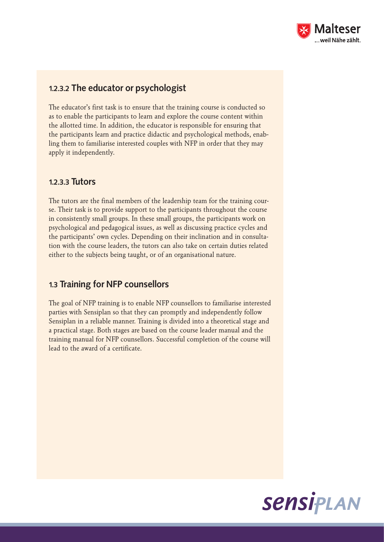

#### 1.2.3.2 The educator or psychologist

The educator's first task is to ensure that the training course is conducted so as to enable the participants to learn and explore the course content within the allotted time. In addition, the educator is responsible for ensuring that the participants learn and practice didactic and psychological methods, enabling them to familiarise interested couples with NFP in order that they may apply it independently.

#### 1.2.3.3 Tutors

The tutors are the final members of the leadership team for the training course. Their task is to provide support to the participants throughout the course in consistently small groups. In these small groups, the participants work on psychological and pedagogical issues, as well as discussing practice cycles and the participants' own cycles. Depending on their inclination and in consultation with the course leaders, the tutors can also take on certain duties related either to the subjects being taught, or of an organisational nature.

#### 1.3 Training for NFP counsellors

The goal of NFP training is to enable NFP counsellors to familiarise interested parties with Sensiplan so that they can promptly and independently follow Sensiplan in a reliable manner. Training is divided into a theoretical stage and a practical stage. Both stages are based on the course leader manual and the training manual for NFP counsellors. Successful completion of the course will lead to the award of a certificate.

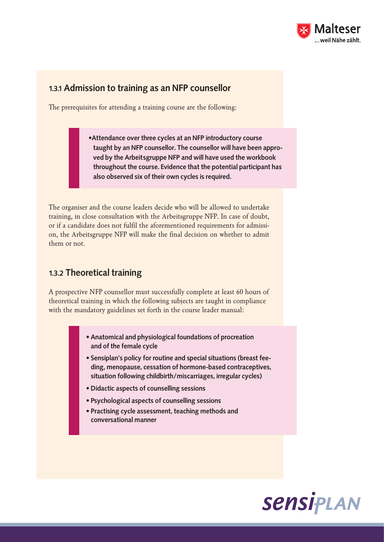

#### 1.3.1 Admission to training as an NFP counsellor

The prerequisites for attending a training course are the following:

•Attendance over three cycles at an NFP introductory course taught by an NFP counsellor. The counsellor will have been approved by the Arbeitsgruppe NFP and will have used the workbook throughout the course. Evidence that the potential participant has also observed six of their own cycles is required.

The organiser and the course leaders decide who will be allowed to undertake training, in close consultation with the Arbeitsgruppe NFP. In case of doubt, or if a candidate does not fulfil the aforementioned requirements for admission, the Arbeitsgruppe NFP will make the final decision on whether to admit them or not.

#### 1.3.2 Theoretical training

A prospective NFP counsellor must successfully complete at least 60 hours of theoretical training in which the following subjects are taught in compliance with the mandatory guidelines set forth in the course leader manual:

- Anatomical and physiological foundations of procreation and of the female cycle
- Sensiplan's policy for routine and special situations (breast feeding, menopause, cessation of hormone-based contraceptives, situation following childbirth/miscarriages, irregular cycles)
- Didactic aspects of counselling sessions
- Psychological aspects of counselling sessions
- Practising cycle assessment, teaching methods and conversational manner

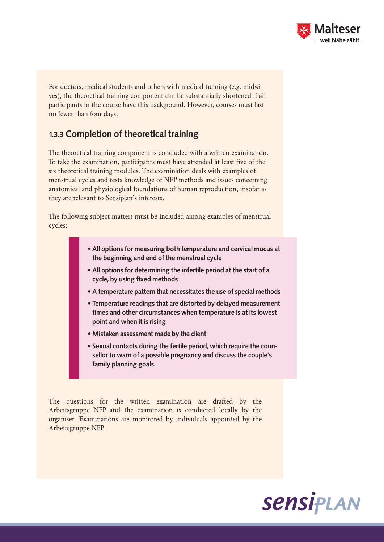

For doctors, medical students and others with medical training (e.g. midwives), the theoretical training component can be substantially shortened if all participants in the course have this background. However, courses must last no fewer than four days.

### 1.3.3 Completion of theoretical training

The theoretical training component is concluded with a written examination. To take the examination, participants must have attended at least five of the six theoretical training modules. The examination deals with examples of menstrual cycles and tests knowledge of NFP methods and issues concerning anatomical and physiological foundations of human reproduction, insofar as they are relevant to Sensiplan's interests.

The following subject matters must be included among examples of menstrual cycles:

- All options for measuring both temperature and cervical mucus at the beginning and end of the menstrual cycle
- All options for determining the infertile period at the start of a cycle, by using fixed methods
- A temperature pattern that necessitates the use of special methods
- Temperature readings that are distorted by delayed measurement times and other circumstances when temperature is at its lowest point and when it is rising
- Mistaken assessment made by the client
- Sexual contacts during the fertile period, which require the counsellor to warn of a possible pregnancy and discuss the couple's family planning goals.

The questions for the written examination are drafted by the Arbeitsgruppe NFP and the examination is conducted locally by the organiser. Examinations are monitored by individuals appointed by the Arbeitsgruppe NFP.

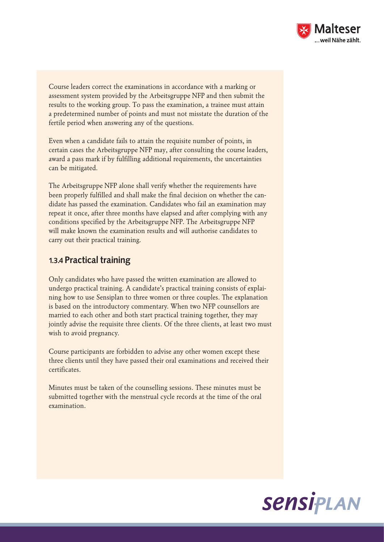

Course leaders correct the examinations in accordance with a marking or assessment system provided by the Arbeitsgruppe NFP and then submit the results to the working group. To pass the examination, a trainee must attain a predetermined number of points and must not misstate the duration of the fertile period when answering any of the questions.

Even when a candidate fails to attain the requisite number of points, in certain cases the Arbeitsgruppe NFP may, after consulting the course leaders, award a pass mark if by fulfilling additional requirements, the uncertainties can be mitigated.

The Arbeitsgruppe NFP alone shall verify whether the requirements have been properly fulfilled and shall make the final decision on whether the candidate has passed the examination. Candidates who fail an examination may repeat it once, after three months have elapsed and after complying with any conditions specified by the Arbeitsgruppe NFP. The Arbeitsgruppe NFP will make known the examination results and will authorise candidates to carry out their practical training.

#### 1.3.4 Practical training

Only candidates who have passed the written examination are allowed to undergo practical training. A candidate's practical training consists of explaining how to use Sensiplan to three women or three couples. The explanation is based on the introductory commentary. When two NFP counsellors are married to each other and both start practical training together, they may jointly advise the requisite three clients. Of the three clients, at least two must wish to avoid pregnancy.

Course participants are forbidden to advise any other women except these three clients until they have passed their oral examinations and received their certificates.

Minutes must be taken of the counselling sessions. These minutes must be submitted together with the menstrual cycle records at the time of the oral examination.

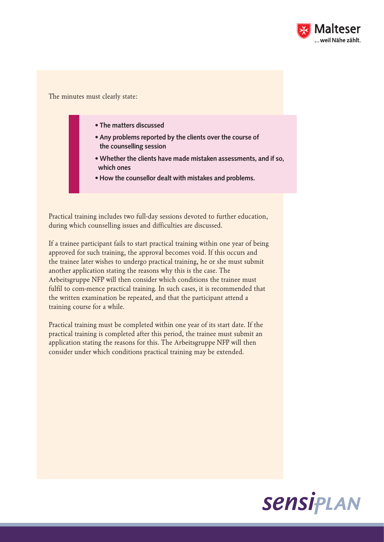

The minutes must clearly state:

- The matters discussed
- Any problems reported by the clients over the course of the counselling session
- Whether the clients have made mistaken assessments, and if so, which ones
- How the counsellor dealt with mistakes and problems.

Practical training includes two full-day sessions devoted to further education, during which counselling issues and difficulties are discussed.

If a trainee participant fails to start practical training within one year of being approved for such training, the approval becomes void. If this occurs and the trainee later wishes to undergo practical training, he or she must submit another application stating the reasons why this is the case. The Arbeitsgruppe NFP will then consider which conditions the trainee must fulfil to com-mence practical training. In such cases, it is recommended that the written examination be repeated, and that the participant attend a training course for a while.

Practical training must be completed within one year of its start date. If the practical training is completed after this period, the trainee must submit an application stating the reasons for this. The Arbeitsgruppe NFP will then consider under which conditions practical training may be extended.

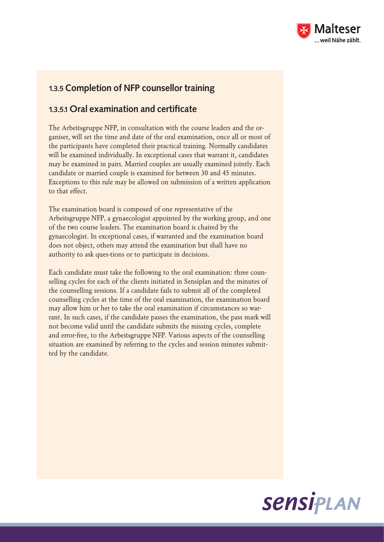

### 1.3.5 Completion of NFP counsellor training

#### 1.3.5.1 Oral examination and certificate

The Arbeitsgruppe NFP, in consultation with the course leaders and the organiser, will set the time and date of the oral examination, once all or most of the participants have completed their practical training. Normally candidates will be examined individually. In exceptional cases that warrant it, candidates may be examined in pairs. Married couples are usually examined jointly. Each candidate or married couple is examined for between 30 and 45 minutes. Exceptions to this rule may be allowed on submission of a written application to that effect.

The examination board is composed of one representative of the Arbeitsgruppe NFP, a gynaecologist appointed by the working group, and one of the two course leaders. The examination board is chaired by the gynaecologist. In exceptional cases, if warranted and the examination board does not object, others may attend the examination but shall have no authority to ask ques-tions or to participate in decisions.

Each candidate must take the following to the oral examination: three counselling cycles for each of the clients initiated in Sensiplan and the minutes of the counselling sessions. If a candidate fails to submit all of the completed counselling cycles at the time of the oral examination, the examination board may allow him or her to take the oral examination if circumstances so warrant. In such cases, if the candidate passes the examination, the pass mark will not become valid until the candidate submits the missing cycles, complete and error-free, to the Arbeitsgruppe NFP. Various aspects of the counselling situation are examined by referring to the cycles and session minutes submitted by the candidate.

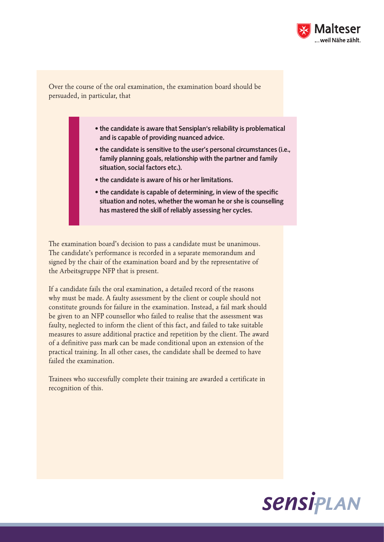

Over the course of the oral examination, the examination board should be persuaded, in particular, that

- the candidate is aware that Sensiplan's reliability is problematical and is capable of providing nuanced advice.
- the candidate is sensitive to the user's personal circumstances (i.e., family planning goals, relationship with the partner and family situation, social factors etc.).
- the candidate is aware of his or her limitations.
- the candidate is capable of determining, in view of the specific situation and notes, whether the woman he or she is counselling has mastered the skill of reliably assessing her cycles.

The examination board's decision to pass a candidate must be unanimous. The candidate's performance is recorded in a separate memorandum and signed by the chair of the examination board and by the representative of the Arbeitsgruppe NFP that is present.

If a candidate fails the oral examination, a detailed record of the reasons why must be made. A faulty assessment by the client or couple should not constitute grounds for failure in the examination. Instead, a fail mark should be given to an NFP counsellor who failed to realise that the assessment was faulty, neglected to inform the client of this fact, and failed to take suitable measures to assure additional practice and repetition by the client. The award of a definitive pass mark can be made conditional upon an extension of the practical training. In all other cases, the candidate shall be deemed to have failed the examination.

Trainees who successfully complete their training are awarded a certificate in recognition of this.

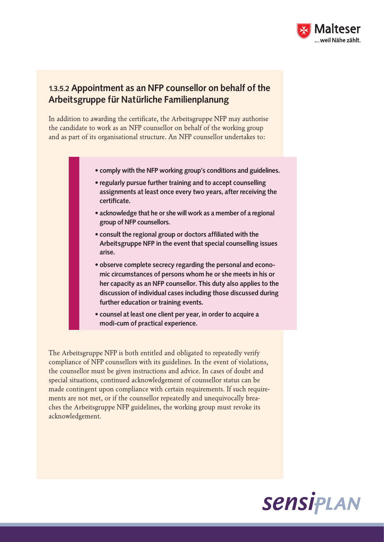

### 1.3.5.2 Appointment as an NFP counsellor on behalf of the Arbeitsgruppe für Natürliche Familienplanung

In addition to awarding the certificate, the Arbeitsgruppe NFP may authorise the candidate to work as an NFP counsellor on behalf of the working group and as part of its organisational structure. An NFP counsellor undertakes to:

- comply with the NFP working group's conditions and guidelines.
- regularly pursue further training and to accept counselling assignments at least once every two years, after receiving the certificate.
- acknowledge that he or she will work as a member of a regional group of NFP counsellors.
- consult the regional group or doctors affiliated with the Arbeitsgruppe NFP in the event that special counselling issues arise.
- observe complete secrecy regarding the personal and economic circumstances of persons whom he or she meets in his or her capacity as an NFP counsellor. This duty also applies to the discussion of individual cases including those discussed during further education or training events.
- counsel at least one client per year, in order to acquire a modi-cum of practical experience.

The Arbeitsgruppe NFP is both entitled and obligated to repeatedly verify compliance of NFP counsellors with its guidelines. In the event of violations, the counsellor must be given instructions and advice. In cases of doubt and special situations, continued acknowledgement of counsellor status can be made contingent upon compliance with certain requirements. If such requirements are not met, or if the counsellor repeatedly and unequivocally breaches the Arbeitsgruppe NFP guidelines, the working group must revoke its acknowledgement.

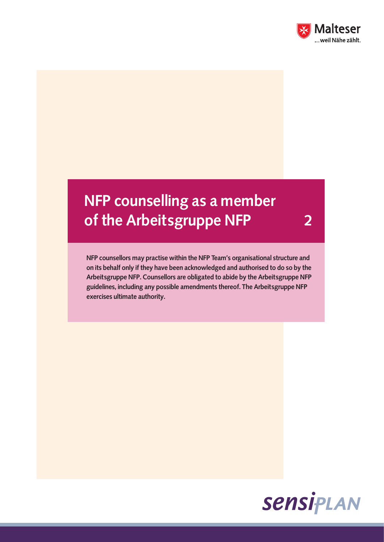

## NFP counselling as a member of the Arbeitsgruppe NFP 2

NFP counsellors may practise within the NFP Team's organisational structure and on its behalf only if they have been acknowledged and authorised to do so by the Arbeitsgruppe NFP. Counsellors are obligated to abide by the Arbeitsgruppe NFP guidelines, including any possible amendments thereof. The Arbeitsgruppe NFP exercises ultimate authority.

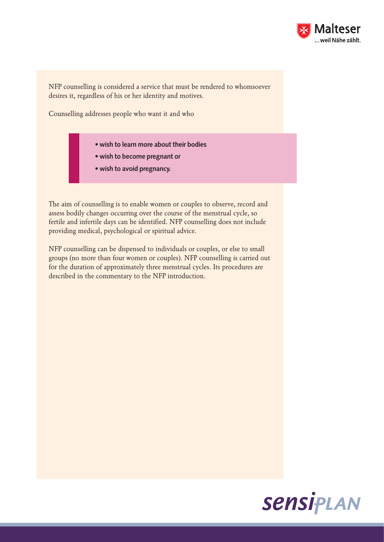

NFP counselling is considered a service that must be rendered to whomsoever desires it, regardless of his or her identity and motives.

Counselling addresses people who want it and who

- wish to learn more about their bodies
- wish to become pregnant or
- wish to avoid pregnancy.

The aim of counselling is to enable women or couples to observe, record and assess bodily changes occurring over the course of the menstrual cycle, so fertile and infertile days can be identified. NFP counselling does not include providing medical, psychological or spiritual advice.

NFP counselling can be dispensed to individuals or couples, or else to small groups (no more than four women or couples). NFP counselling is carried out for the duration of approximately three menstrual cycles. Its procedures are described in the commentary to the NFP introduction.